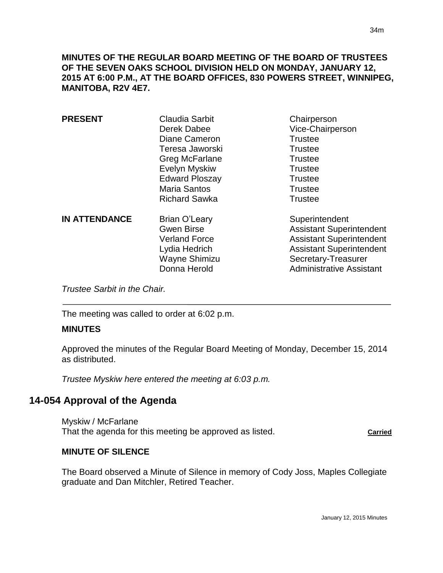**MINUTES OF THE REGULAR BOARD MEETING OF THE BOARD OF TRUSTEES OF THE SEVEN OAKS SCHOOL DIVISION HELD ON MONDAY, JANUARY 12, 2015 AT 6:00 P.M., AT THE BOARD OFFICES, 830 POWERS STREET, WINNIPEG, MANITOBA, R2V 4E7.**

| <b>PRESENT</b>       | Claudia Sarbit<br>Derek Dabee<br>Diane Cameron<br>Teresa Jaworski<br>Greg McFarlane<br>Evelyn Myskiw<br><b>Edward Ploszay</b><br><b>Maria Santos</b><br><b>Richard Sawka</b> | Chairperson<br>Vice-Chairperson<br><b>Trustee</b><br><b>Trustee</b><br><b>Trustee</b><br><b>Trustee</b><br><b>Trustee</b><br><b>Trustee</b><br><b>Trustee</b>                     |
|----------------------|------------------------------------------------------------------------------------------------------------------------------------------------------------------------------|-----------------------------------------------------------------------------------------------------------------------------------------------------------------------------------|
| <b>IN ATTENDANCE</b> | <b>Brian O'Leary</b><br><b>Gwen Birse</b><br><b>Verland Force</b><br>Lydia Hedrich<br>Wayne Shimizu<br>Donna Herold                                                          | Superintendent<br><b>Assistant Superintendent</b><br><b>Assistant Superintendent</b><br><b>Assistant Superintendent</b><br>Secretary-Treasurer<br><b>Administrative Assistant</b> |

*Trustee Sarbit in the Chair.* 

The meeting was called to order at 6:02 p.m.

#### **MINUTES**

 $\overline{a}$ 

Approved the minutes of the Regular Board Meeting of Monday, December 15, 2014 as distributed.

*Trustee Myskiw here entered the meeting at 6:03 p.m.*

# **14-054 Approval of the Agenda**

Myskiw / McFarlane That the agenda for this meeting be approved as listed. That the agenda for this meeting be approved as listed.

#### **MINUTE OF SILENCE**

The Board observed a Minute of Silence in memory of Cody Joss, Maples Collegiate graduate and Dan Mitchler, Retired Teacher.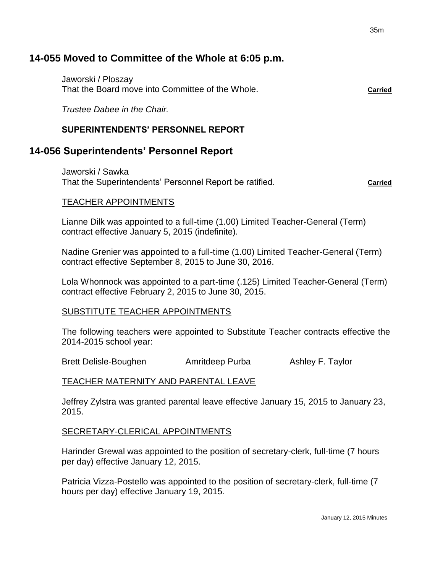# **14-055 Moved to Committee of the Whole at 6:05 p.m.**

Jaworski / Ploszay That the Board move into Committee of the Whole. **Carried**

*Trustee Dabee in the Chair.*

# **SUPERINTENDENTS' PERSONNEL REPORT**

# **14-056 Superintendents' Personnel Report**

Jaworski / Sawka That the Superintendents' Personnel Report be ratified. **Carried Carried** 

# TEACHER APPOINTMENTS

Lianne Dilk was appointed to a full-time (1.00) Limited Teacher-General (Term) contract effective January 5, 2015 (indefinite).

Nadine Grenier was appointed to a full-time (1.00) Limited Teacher-General (Term) contract effective September 8, 2015 to June 30, 2016.

Lola Whonnock was appointed to a part-time (.125) Limited Teacher-General (Term) contract effective February 2, 2015 to June 30, 2015.

# SUBSTITUTE TEACHER APPOINTMENTS

The following teachers were appointed to Substitute Teacher contracts effective the 2014-2015 school year:

Brett Delisle-Boughen Amritdeep Purba Ashley F. Taylor

# TEACHER MATERNITY AND PARENTAL LEAVE

Jeffrey Zylstra was granted parental leave effective January 15, 2015 to January 23, 2015.

# SECRETARY-CLERICAL APPOINTMENTS

Harinder Grewal was appointed to the position of secretary-clerk, full-time (7 hours per day) effective January 12, 2015.

Patricia Vizza-Postello was appointed to the position of secretary-clerk, full-time (7 hours per day) effective January 19, 2015.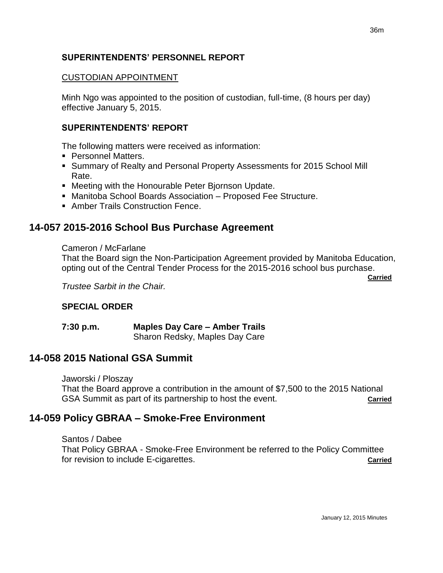# **SUPERINTENDENTS' PERSONNEL REPORT**

# CUSTODIAN APPOINTMENT

Minh Ngo was appointed to the position of custodian, full-time, (8 hours per day) effective January 5, 2015.

# **SUPERINTENDENTS' REPORT**

The following matters were received as information:

- **Personnel Matters.**
- Summary of Realty and Personal Property Assessments for 2015 School Mill Rate.
- **Meeting with the Honourable Peter Bjornson Update.**
- Manitoba School Boards Association Proposed Fee Structure.
- **Amber Trails Construction Fence.**

# **14-057 2015-2016 School Bus Purchase Agreement**

## Cameron / McFarlane

That the Board sign the Non-Participation Agreement provided by Manitoba Education, opting out of the Central Tender Process for the 2015-2016 school bus purchase.

**Carried**

*Trustee Sarbit in the Chair.*

# **SPECIAL ORDER**

#### **7:30 p.m. Maples Day Care – Amber Trails** Sharon Redsky, Maples Day Care

# **14-058 2015 National GSA Summit**

Jaworski / Ploszay That the Board approve a contribution in the amount of \$7,500 to the 2015 National GSA Summit as part of its partnership to host the event.

# **14-059 Policy GBRAA – Smoke-Free Environment**

Santos / Dabee That Policy GBRAA - Smoke-Free Environment be referred to the Policy Committee for revision to include E-cigarettes. **Carried**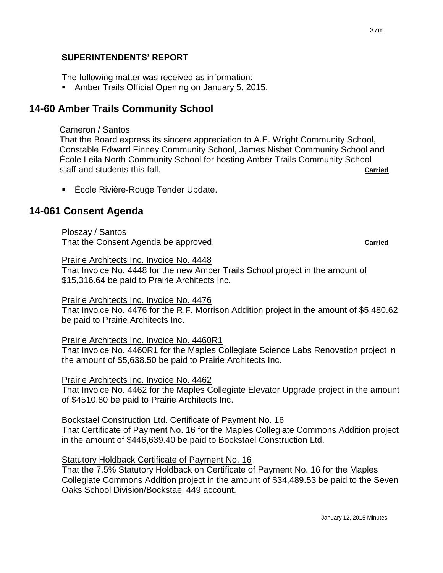## **SUPERINTENDENTS' REPORT**

The following matter was received as information:

**Amber Trails Official Opening on January 5, 2015.** 

# **14-60 Amber Trails Community School**

## Cameron / Santos

That the Board express its sincere appreciation to A.E. Wright Community School, Constable Edward Finney Community School, James Nisbet Community School and École Leila North Community School for hosting Amber Trails Community School staff and students this fall. **Carried**

■ École Rivière-Rouge Tender Update.

# **14-061 Consent Agenda**

Ploszay / Santos That the Consent Agenda be approved. **Carried**

#### Prairie Architects Inc. Invoice No. 4448

That Invoice No. 4448 for the new Amber Trails School project in the amount of \$15,316.64 be paid to Prairie Architects Inc.

#### Prairie Architects Inc. Invoice No. 4476

That Invoice No. 4476 for the R.F. Morrison Addition project in the amount of \$5,480.62 be paid to Prairie Architects Inc.

#### Prairie Architects Inc. Invoice No. 4460R1

That Invoice No. 4460R1 for the Maples Collegiate Science Labs Renovation project in the amount of \$5,638.50 be paid to Prairie Architects Inc.

#### Prairie Architects Inc. Invoice No. 4462

That Invoice No. 4462 for the Maples Collegiate Elevator Upgrade project in the amount of \$4510.80 be paid to Prairie Architects Inc.

#### Bockstael Construction Ltd. Certificate of Payment No. 16

That Certificate of Payment No. 16 for the Maples Collegiate Commons Addition project in the amount of \$446,639.40 be paid to Bockstael Construction Ltd.

#### Statutory Holdback Certificate of Payment No. 16

That the 7.5% Statutory Holdback on Certificate of Payment No. 16 for the Maples Collegiate Commons Addition project in the amount of \$34,489.53 be paid to the Seven Oaks School Division/Bockstael 449 account.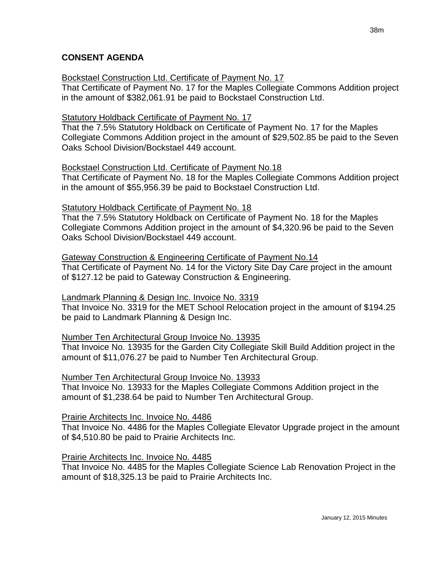# **CONSENT AGENDA**

### Bockstael Construction Ltd. Certificate of Payment No. 17

That Certificate of Payment No. 17 for the Maples Collegiate Commons Addition project in the amount of \$382,061.91 be paid to Bockstael Construction Ltd.

## Statutory Holdback Certificate of Payment No. 17

That the 7.5% Statutory Holdback on Certificate of Payment No. 17 for the Maples Collegiate Commons Addition project in the amount of \$29,502.85 be paid to the Seven Oaks School Division/Bockstael 449 account.

## Bockstael Construction Ltd. Certificate of Payment No.18

That Certificate of Payment No. 18 for the Maples Collegiate Commons Addition project in the amount of \$55,956.39 be paid to Bockstael Construction Ltd.

## Statutory Holdback Certificate of Payment No. 18

That the 7.5% Statutory Holdback on Certificate of Payment No. 18 for the Maples Collegiate Commons Addition project in the amount of \$4,320.96 be paid to the Seven Oaks School Division/Bockstael 449 account.

# Gateway Construction & Engineering Certificate of Payment No.14

That Certificate of Payment No. 14 for the Victory Site Day Care project in the amount of \$127.12 be paid to Gateway Construction & Engineering.

# Landmark Planning & Design Inc. Invoice No. 3319

That Invoice No. 3319 for the MET School Relocation project in the amount of \$194.25 be paid to Landmark Planning & Design Inc.

# Number Ten Architectural Group Invoice No. 13935

That Invoice No. 13935 for the Garden City Collegiate Skill Build Addition project in the amount of \$11,076.27 be paid to Number Ten Architectural Group.

# Number Ten Architectural Group Invoice No. 13933

That Invoice No. 13933 for the Maples Collegiate Commons Addition project in the amount of \$1,238.64 be paid to Number Ten Architectural Group.

# Prairie Architects Inc. Invoice No. 4486

That Invoice No. 4486 for the Maples Collegiate Elevator Upgrade project in the amount of \$4,510.80 be paid to Prairie Architects Inc.

# Prairie Architects Inc. Invoice No. 4485

That Invoice No. 4485 for the Maples Collegiate Science Lab Renovation Project in the amount of \$18,325.13 be paid to Prairie Architects Inc.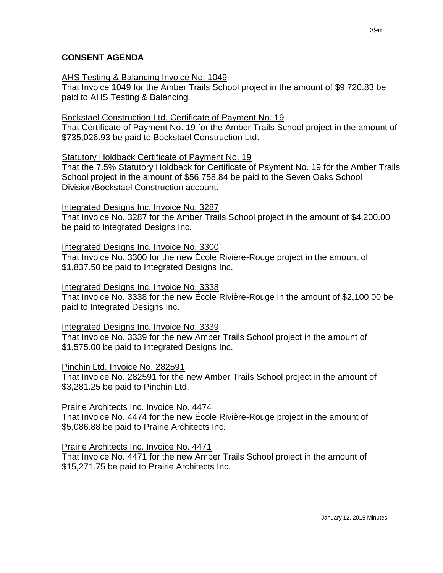## **CONSENT AGENDA**

#### AHS Testing & Balancing Invoice No. 1049

That Invoice 1049 for the Amber Trails School project in the amount of \$9,720.83 be paid to AHS Testing & Balancing.

#### Bockstael Construction Ltd. Certificate of Payment No. 19

That Certificate of Payment No. 19 for the Amber Trails School project in the amount of \$735,026.93 be paid to Bockstael Construction Ltd.

#### Statutory Holdback Certificate of Payment No. 19

That the 7.5% Statutory Holdback for Certificate of Payment No. 19 for the Amber Trails School project in the amount of \$56,758.84 be paid to the Seven Oaks School Division/Bockstael Construction account.

#### Integrated Designs Inc. Invoice No. 3287

That Invoice No. 3287 for the Amber Trails School project in the amount of \$4,200.00 be paid to Integrated Designs Inc.

#### Integrated Designs Inc. Invoice No. 3300

That Invoice No. 3300 for the new École Rivière-Rouge project in the amount of \$1,837.50 be paid to Integrated Designs Inc.

#### Integrated Designs Inc. Invoice No. 3338

That Invoice No. 3338 for the new École Rivière-Rouge in the amount of \$2,100.00 be paid to Integrated Designs Inc.

#### Integrated Designs Inc. Invoice No. 3339

That Invoice No. 3339 for the new Amber Trails School project in the amount of \$1,575.00 be paid to Integrated Designs Inc.

#### Pinchin Ltd. Invoice No. 282591

That Invoice No. 282591 for the new Amber Trails School project in the amount of \$3,281.25 be paid to Pinchin Ltd.

#### Prairie Architects Inc. Invoice No. 4474

That Invoice No. 4474 for the new École Rivière-Rouge project in the amount of \$5,086.88 be paid to Prairie Architects Inc.

#### Prairie Architects Inc. Invoice No. 4471

That Invoice No. 4471 for the new Amber Trails School project in the amount of \$15,271.75 be paid to Prairie Architects Inc.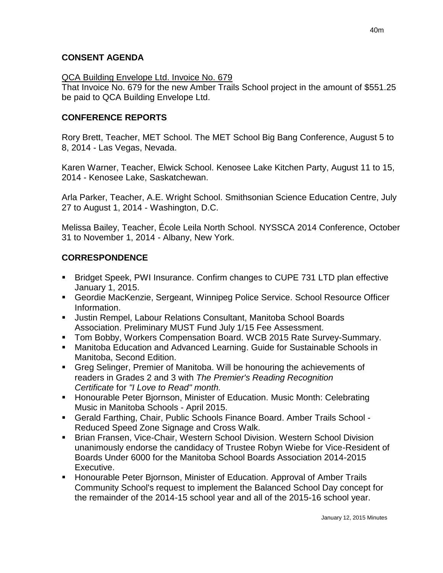# **CONSENT AGENDA**

# QCA Building Envelope Ltd. Invoice No. 679

That Invoice No. 679 for the new Amber Trails School project in the amount of \$551.25 be paid to QCA Building Envelope Ltd.

# **CONFERENCE REPORTS**

Rory Brett, Teacher, MET School. The MET School Big Bang Conference, August 5 to 8, 2014 - Las Vegas, Nevada.

Karen Warner, Teacher, Elwick School. Kenosee Lake Kitchen Party, August 11 to 15, 2014 - Kenosee Lake, Saskatchewan.

Arla Parker, Teacher, A.E. Wright School. Smithsonian Science Education Centre, July 27 to August 1, 2014 - Washington, D.C.

Melissa Bailey, Teacher, École Leila North School. NYSSCA 2014 Conference, October 31 to November 1, 2014 - Albany, New York.

# **CORRESPONDENCE**

- Bridget Speek, PWI Insurance. Confirm changes to CUPE 731 LTD plan effective January 1, 2015.
- Geordie MacKenzie, Sergeant, Winnipeg Police Service. School Resource Officer Information.
- Justin Rempel, Labour Relations Consultant, Manitoba School Boards Association. Preliminary MUST Fund July 1/15 Fee Assessment.
- **Tom Bobby, Workers Compensation Board. WCB 2015 Rate Survey-Summary.**
- Manitoba Education and Advanced Learning. Guide for Sustainable Schools in Manitoba, Second Edition.
- Greg Selinger, Premier of Manitoba. Will be honouring the achievements of readers in Grades 2 and 3 with *The Premier's Reading Recognition Certificate* for *"I Love to Read" month.*
- **Honourable Peter Biornson, Minister of Education. Music Month: Celebrating** Music in Manitoba Schools - April 2015.
- Gerald Farthing, Chair, Public Schools Finance Board. Amber Trails School Reduced Speed Zone Signage and Cross Walk.
- Brian Fransen, Vice-Chair, Western School Division. Western School Division unanimously endorse the candidacy of Trustee Robyn Wiebe for Vice-Resident of Boards Under 6000 for the Manitoba School Boards Association 2014-2015 Executive.
- **Honourable Peter Bjornson, Minister of Education. Approval of Amber Trails** Community School's request to implement the Balanced School Day concept for the remainder of the 2014-15 school year and all of the 2015-16 school year.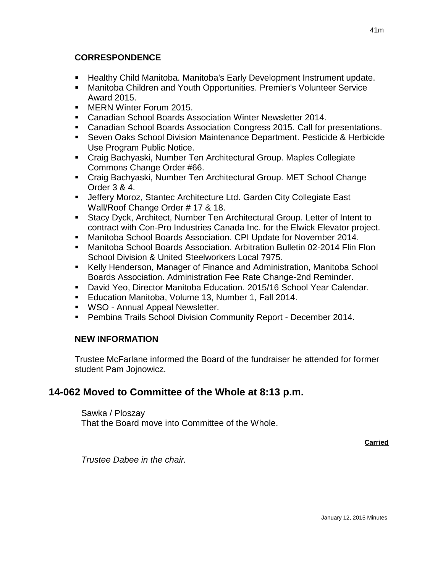# **CORRESPONDENCE**

- Healthy Child Manitoba. Manitoba's Early Development Instrument update.
- Manitoba Children and Youth Opportunities. Premier's Volunteer Service Award 2015.
- **MERN Winter Forum 2015.**
- Canadian School Boards Association Winter Newsletter 2014.
- Canadian School Boards Association Congress 2015. Call for presentations.
- Seven Oaks School Division Maintenance Department. Pesticide & Herbicide Use Program Public Notice.
- Craig Bachyaski, Number Ten Architectural Group. Maples Collegiate Commons Change Order #66.
- Craig Bachyaski, Number Ten Architectural Group. MET School Change Order 3 & 4.
- Jeffery Moroz, Stantec Architecture Ltd. Garden City Collegiate East Wall/Roof Change Order # 17 & 18.
- Stacy Dyck, Architect, Number Ten Architectural Group. Letter of Intent to contract with Con-Pro Industries Canada Inc. for the Elwick Elevator project.
- Manitoba School Boards Association. CPI Update for November 2014.
- Manitoba School Boards Association. Arbitration Bulletin 02-2014 Flin Flon School Division & United Steelworkers Local 7975.
- Kelly Henderson, Manager of Finance and Administration, Manitoba School Boards Association. Administration Fee Rate Change-2nd Reminder.
- David Yeo, Director Manitoba Education. 2015/16 School Year Calendar.
- **Education Manitoba, Volume 13, Number 1, Fall 2014.**
- **WSO Annual Appeal Newsletter.**
- Pembina Trails School Division Community Report December 2014.

# **NEW INFORMATION**

Trustee McFarlane informed the Board of the fundraiser he attended for former student Pam Jojnowicz.

# **14-062 Moved to Committee of the Whole at 8:13 p.m.**

Sawka / Ploszay That the Board move into Committee of the Whole.

**Carried**

*Trustee Dabee in the chair.*